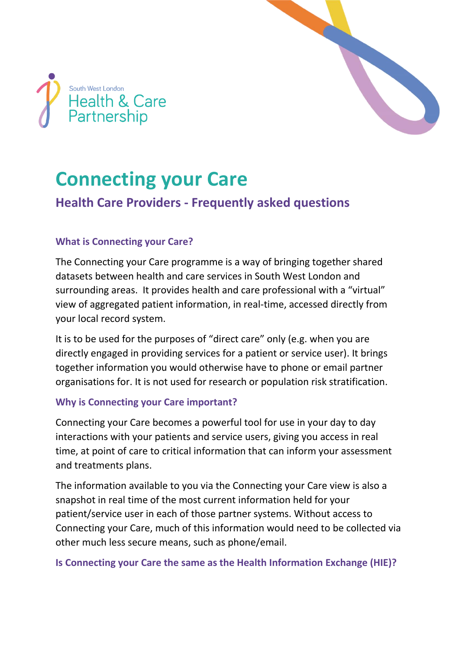



# **Connecting your Care**

# **Health Care Providers - Frequently asked questions**

# **What is Connecting your Care?**

The Connecting your Care programme is a way of bringing together shared datasets between health and care services in South West London and surrounding areas. It provides health and care professional with a "virtual" view of aggregated patient information, in real-time, accessed directly from your local record system.

It is to be used for the purposes of "direct care" only (e.g. when you are directly engaged in providing services for a patient or service user). It brings together information you would otherwise have to phone or email partner organisations for. It is not used for research or population risk stratification.

# **Why is Connecting your Care important?**

Connecting your Care becomes a powerful tool for use in your day to day interactions with your patients and service users, giving you access in real time, at point of care to critical information that can inform your assessment and treatments plans.

The information available to you via the Connecting your Care view is also a snapshot in real time of the most current information held for your patient/service user in each of those partner systems. Without access to Connecting your Care, much of this information would need to be collected via other much less secure means, such as phone/email.

# **Is Connecting your Care the same as the Health Information Exchange (HIE)?**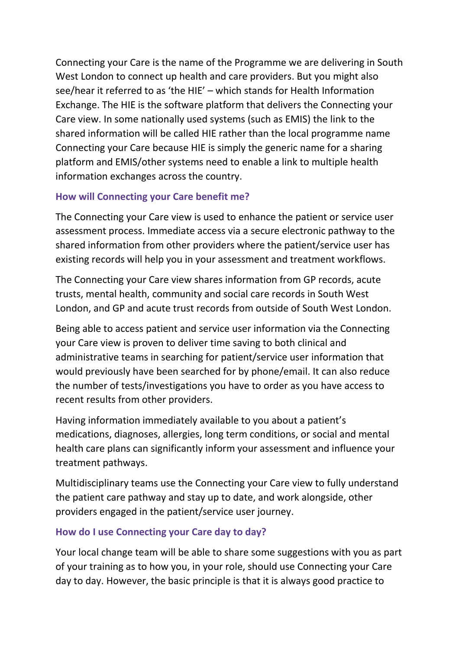Connecting your Care is the name of the Programme we are delivering in South West London to connect up health and care providers. But you might also see/hear it referred to as 'the HIE' – which stands for Health Information Exchange. The HIE is the software platform that delivers the Connecting your Care view. In some nationally used systems (such as EMIS) the link to the shared information will be called HIE rather than the local programme name Connecting your Care because HIE is simply the generic name for a sharing platform and EMIS/other systems need to enable a link to multiple health information exchanges across the country.

# **How will Connecting your Care benefit me?**

The Connecting your Care view is used to enhance the patient or service user assessment process. Immediate access via a secure electronic pathway to the shared information from other providers where the patient/service user has existing records will help you in your assessment and treatment workflows.

The Connecting your Care view shares information from GP records, acute trusts, mental health, community and social care records in South West London, and GP and acute trust records from outside of South West London.

Being able to access patient and service user information via the Connecting your Care view is proven to deliver time saving to both clinical and administrative teams in searching for patient/service user information that would previously have been searched for by phone/email. It can also reduce the number of tests/investigations you have to order as you have access to recent results from other providers.

Having information immediately available to you about a patient's medications, diagnoses, allergies, long term conditions, or social and mental health care plans can significantly inform your assessment and influence your treatment pathways.

Multidisciplinary teams use the Connecting your Care view to fully understand the patient care pathway and stay up to date, and work alongside, other providers engaged in the patient/service user journey.

# **How do I use Connecting your Care day to day?**

Your local change team will be able to share some suggestions with you as part of your training as to how you, in your role, should use Connecting your Care day to day. However, the basic principle is that it is always good practice to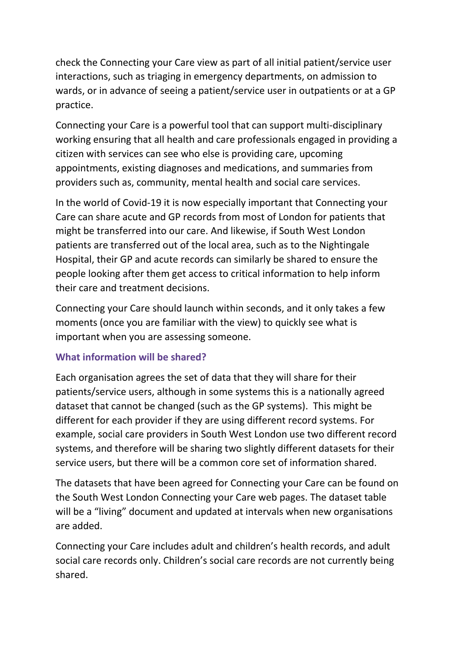check the Connecting your Care view as part of all initial patient/service user interactions, such as triaging in emergency departments, on admission to wards, or in advance of seeing a patient/service user in outpatients or at a GP practice.

Connecting your Care is a powerful tool that can support multi-disciplinary working ensuring that all health and care professionals engaged in providing a citizen with services can see who else is providing care, upcoming appointments, existing diagnoses and medications, and summaries from providers such as, community, mental health and social care services.

In the world of Covid-19 it is now especially important that Connecting your Care can share acute and GP records from most of London for patients that might be transferred into our care. And likewise, if South West London patients are transferred out of the local area, such as to the Nightingale Hospital, their GP and acute records can similarly be shared to ensure the people looking after them get access to critical information to help inform their care and treatment decisions.

Connecting your Care should launch within seconds, and it only takes a few moments (once you are familiar with the view) to quickly see what is important when you are assessing someone.

# **What information will be shared?**

Each organisation agrees the set of data that they will share for their patients/service users, although in some systems this is a nationally agreed dataset that cannot be changed (such as the GP systems). This might be different for each provider if they are using different record systems. For example, social care providers in South West London use two different record systems, and therefore will be sharing two slightly different datasets for their service users, but there will be a common core set of information shared.

The datasets that have been agreed for Connecting your Care can be found on the South West London Connecting your Care web pages. The dataset table will be a "living" document and updated at intervals when new organisations are added.

Connecting your Care includes adult and children's health records, and adult social care records only. Children's social care records are not currently being shared.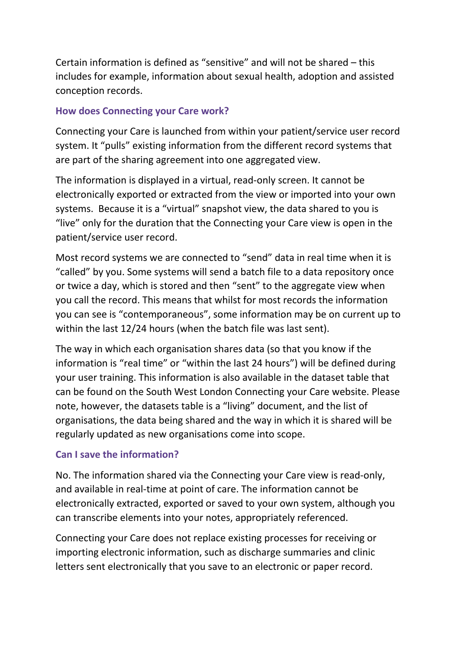Certain information is defined as "sensitive" and will not be shared – this includes for example, information about sexual health, adoption and assisted conception records.

#### **How does Connecting your Care work?**

Connecting your Care is launched from within your patient/service user record system. It "pulls" existing information from the different record systems that are part of the sharing agreement into one aggregated view.

The information is displayed in a virtual, read-only screen. It cannot be electronically exported or extracted from the view or imported into your own systems. Because it is a "virtual" snapshot view, the data shared to you is "live" only for the duration that the Connecting your Care view is open in the patient/service user record.

Most record systems we are connected to "send" data in real time when it is "called" by you. Some systems will send a batch file to a data repository once or twice a day, which is stored and then "sent" to the aggregate view when you call the record. This means that whilst for most records the information you can see is "contemporaneous", some information may be on current up to within the last 12/24 hours (when the batch file was last sent).

The way in which each organisation shares data (so that you know if the information is "real time" or "within the last 24 hours") will be defined during your user training. This information is also available in the dataset table that can be found on the South West London Connecting your Care website. Please note, however, the datasets table is a "living" document, and the list of organisations, the data being shared and the way in which it is shared will be regularly updated as new organisations come into scope.

#### **Can I save the information?**

No. The information shared via the Connecting your Care view is read-only, and available in real-time at point of care. The information cannot be electronically extracted, exported or saved to your own system, although you can transcribe elements into your notes, appropriately referenced.

Connecting your Care does not replace existing processes for receiving or importing electronic information, such as discharge summaries and clinic letters sent electronically that you save to an electronic or paper record.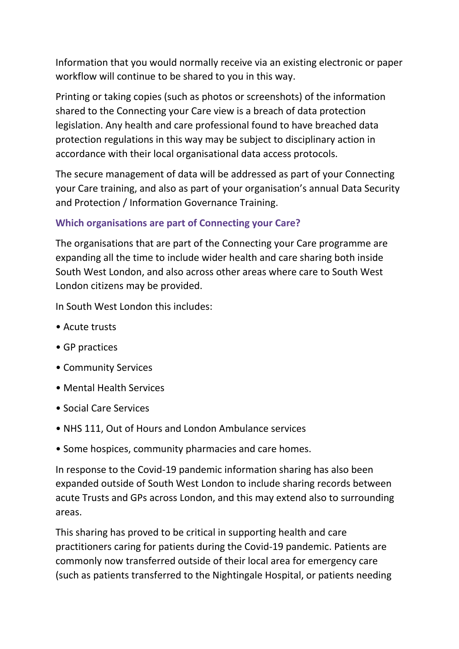Information that you would normally receive via an existing electronic or paper workflow will continue to be shared to you in this way.

Printing or taking copies (such as photos or screenshots) of the information shared to the Connecting your Care view is a breach of data protection legislation. Any health and care professional found to have breached data protection regulations in this way may be subject to disciplinary action in accordance with their local organisational data access protocols.

The secure management of data will be addressed as part of your Connecting your Care training, and also as part of your organisation's annual Data Security and Protection / Information Governance Training.

# **Which organisations are part of Connecting your Care?**

The organisations that are part of the Connecting your Care programme are expanding all the time to include wider health and care sharing both inside South West London, and also across other areas where care to South West London citizens may be provided.

In South West London this includes:

- Acute trusts
- GP practices
- Community Services
- Mental Health Services
- Social Care Services
- NHS 111, Out of Hours and London Ambulance services
- Some hospices, community pharmacies and care homes.

In response to the Covid-19 pandemic information sharing has also been expanded outside of South West London to include sharing records between acute Trusts and GPs across London, and this may extend also to surrounding areas.

This sharing has proved to be critical in supporting health and care practitioners caring for patients during the Covid-19 pandemic. Patients are commonly now transferred outside of their local area for emergency care (such as patients transferred to the Nightingale Hospital, or patients needing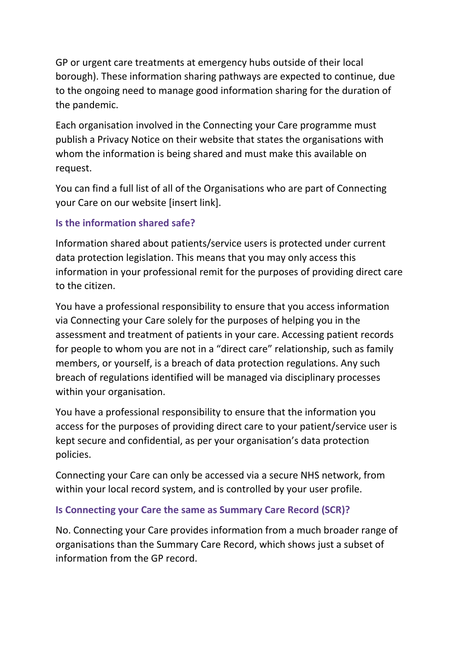GP or urgent care treatments at emergency hubs outside of their local borough). These information sharing pathways are expected to continue, due to the ongoing need to manage good information sharing for the duration of the pandemic.

Each organisation involved in the Connecting your Care programme must publish a Privacy Notice on their website that states the organisations with whom the information is being shared and must make this available on request.

You can find a full list of all of the Organisations who are part of Connecting your Care on our website [insert link].

# **Is the information shared safe?**

Information shared about patients/service users is protected under current data protection legislation. This means that you may only access this information in your professional remit for the purposes of providing direct care to the citizen.

You have a professional responsibility to ensure that you access information via Connecting your Care solely for the purposes of helping you in the assessment and treatment of patients in your care. Accessing patient records for people to whom you are not in a "direct care" relationship, such as family members, or yourself, is a breach of data protection regulations. Any such breach of regulations identified will be managed via disciplinary processes within your organisation.

You have a professional responsibility to ensure that the information you access for the purposes of providing direct care to your patient/service user is kept secure and confidential, as per your organisation's data protection policies.

Connecting your Care can only be accessed via a secure NHS network, from within your local record system, and is controlled by your user profile.

# **Is Connecting your Care the same as Summary Care Record (SCR)?**

No. Connecting your Care provides information from a much broader range of organisations than the Summary Care Record, which shows just a subset of information from the GP record.